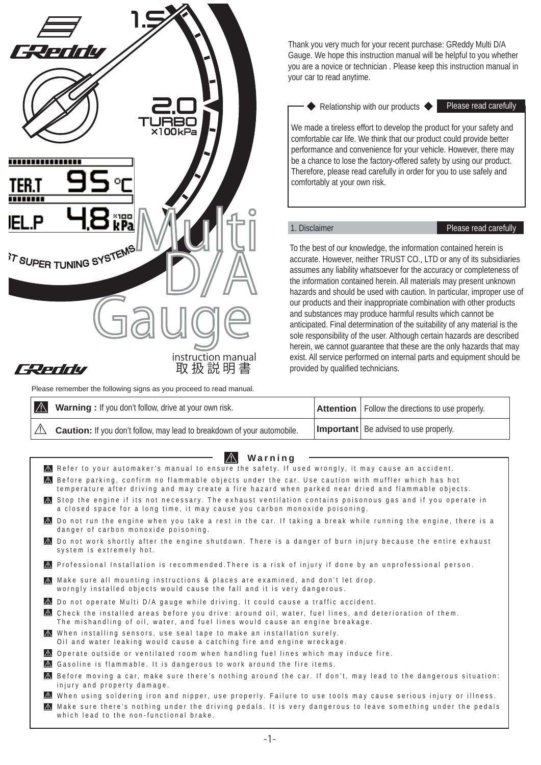

Thank you very much for your recent purchase: GReddy Multi D/A Gauge. We hope this instruction manual will be helpful to you whether you are a novice or technician . Please keep this instruction manual in your car to read anytime.

#### **◆** Relationship with our products **◆** Please read carefully

We made a tireless effort to develop the product for your safety and comfortable car life. We think that our product could provide better performance and convenience for your vehicle. However, there may be a chance to lose the factory-offered safety by using our product. Therefore, please read carefully in order for you to use safely and comfortably at your own risk.

#### 1. Disclaimer **Please read carefully**

To the best of our knowledge, the information contained herein is accurate. However, neither TRUST CO., LTD or any of its subsidiaries assumes any liability whatsoever for the accuracy or completeness of the information contained herein. All materials may present unknown hazards and should be used with caution. In particular, improper use of our products and their inappropriate combination with other products and substances may produce harmful results which cannot be anticipated. Final determination of the suitability of any material is the sole responsibility of the user. Although certain hazards are described herein, we cannot guarantee that these are the only hazards that may exist. All service performed on internal parts and equipment should be provided by qualified technicians.

| $\mathbb{A}$ | Warning: If you don't follow, drive at your own risk.                          | <b>Attention</b>   Follow the directions to use properly. |
|--------------|--------------------------------------------------------------------------------|-----------------------------------------------------------|
|              | <b>Caution:</b> If you don't follow, may lead to breakdown of your automobile. | <b>Important</b>   Be advised to use properly.            |

| $\mathbb{A}$ Warning |                                                                                                                                                                                                            |  |  |  |
|----------------------|------------------------------------------------------------------------------------------------------------------------------------------------------------------------------------------------------------|--|--|--|
|                      | A Refer to your automaker's manual to ensure the safety. If used wrongly, it may cause an accident.                                                                                                        |  |  |  |
| $\Lambda$            | Before parking, confirm no flammable objects under the car. Use caution with muffler which has hot<br>temperature after driving and may create a fire hazard when parked near dried and flammable objects. |  |  |  |
|                      | ∧ Stop the engine if its not necessary. The exhaust ventilation contains poisonous gas and if you operate in<br>a closed space for a long time, it may cause you carbon monoxide poisoning.                |  |  |  |
|                      | A Do not run the engine when you take a rest in the car. If taking a break while running the engine, there is a<br>danger of carbon monoxide poisoning.                                                    |  |  |  |
|                      | A Do not work shortly after the engine shutdown. There is a danger of burn injury because the entire exhaust<br>system is extremely hot.                                                                   |  |  |  |
|                      | A Professional Installation is recommended. There is a risk of injury if done by an unprofessional person.                                                                                                 |  |  |  |
|                      | M Make sure all mounting instructions & places are examined, and don't let drop.<br>worngly installed objects would cause the fall and it is very dangerous.                                               |  |  |  |
|                      | A Do not operate Multi D/A gauge while driving. It could cause a traffic accident.                                                                                                                         |  |  |  |
|                      | A Check the installed areas before you drive: around oil, water, fuel lines, and deterioration of them.<br>The mishandling of oil, water, and fuel lines would cause an engine breakage.                   |  |  |  |
|                      | When installing sensors, use seal tape to make an installation surely.<br>Oil and water leaking would cause a catching fire and engine wreckage.                                                           |  |  |  |
|                      | A Operate outside or ventilated room when handling fuel lines which may induce fire.                                                                                                                       |  |  |  |
|                      | A Gasoline is flammable. It is dangerous to work around the fire items.                                                                                                                                    |  |  |  |
|                      | A Before moving a car, make sure there's nothing around the car. If don't, may lead to the dangerous situation:<br>injury and property damage.                                                             |  |  |  |
|                      | When using soldering iron and nipper, use properly. Failure to use tools may cause serious injury or illness.                                                                                              |  |  |  |
|                      | A Make sure there's nothing under the driving pedals. It is very dangerous to leave something under the pedals<br>which lead to the non-functional brake.                                                  |  |  |  |
|                      |                                                                                                                                                                                                            |  |  |  |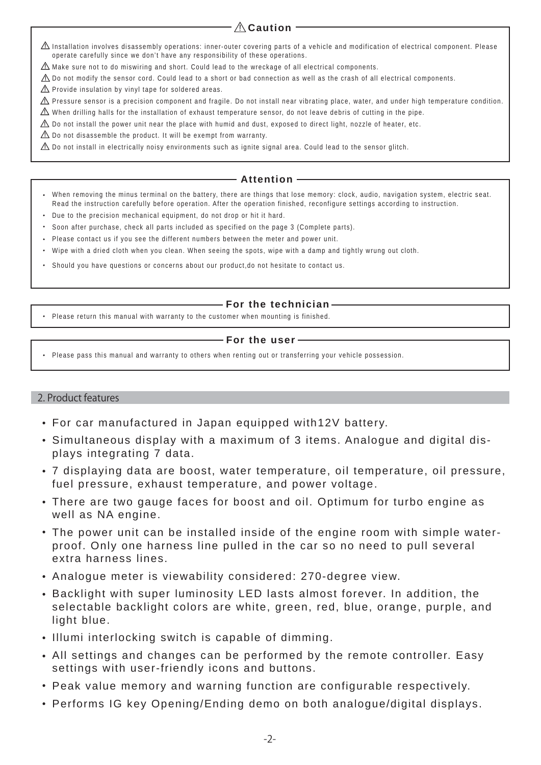$\triangle$  Installation involves disassembly operations: inner-outer covering parts of a vehicle and modification of electrical component. Please operate carefully since we don't have any responsibility of these operations.

**Caution**

 $\triangle$  Make sure not to do miswiring and short. Could lead to the wreckage of all electrical components.

 $\triangle$  Do not modify the sensor cord. Could lead to a short or bad connection as well as the crash of all electrical components.

 $\triangle$  Provide insulation by vinyl tape for soldered areas.

 $\triangle$  Pressure sensor is a precision component and fragile. Do not install near vibrating place, water, and under high temperature condition.

 $\Delta$  When drilling halls for the installation of exhaust temperature sensor, do not leave debris of cutting in the pipe.

 $\triangle$  Do not install the power unit near the place with humid and dust, exposed to direct light, nozzle of heater, etc.

 $\triangle$  Do not disassemble the product. It will be exempt from warranty.

 $\triangle$  Do not install in electrically noisy environments such as ignite signal area. Could lead to the sensor glitch.

## **Attention**

- When removing the minus terminal on the battery, there are things that lose memory: clock, audio, navigation system, electric seat. Read the instruction carefully before operation. After the operation finished, reconfigure settings according to instruction.
- Due to the precision mechanical equipment, do not drop or hit it hard.
- Soon after purchase, check all parts included as specified on the page 3 (Complete parts).
- Please contact us if you see the different numbers between the meter and power unit.
- Wipe with a dried cloth when you clean. When seeing the spots, wipe with a damp and tightly wrung out cloth.
- Should you have questions or concerns about our product,do not hesitate to contact us.

#### **For the technician**

Please return this manual with warranty to the customer when mounting is finished.

### **For the user**

Please pass this manual and warranty to others when renting out or transferring your vehicle possession.

#### **2. Product features**

- For car manufactured in Japan equipped with12V battery.
- Simultaneous display with a maximum of 3 items. Analogue and digital displays integrating 7 data.
- 7 displaying data are boost, water temperature, oil temperature, oil pressure, fuel pressure, exhaust temperature, and power voltage.
- There are two gauge faces for boost and oil. Optimum for turbo engine as well as NA engine.
- The power unit can be installed inside of the engine room with simple waterproof. Only one harness line pulled in the car so no need to pull several extra harness lines.
- Analogue meter is viewability considered: 270-degree view.
- Backlight with super luminosity LED lasts almost forever. In addition, the selectable backlight colors are white, green, red, blue, orange, purple, and light blue.
- Illumi interlocking switch is capable of dimming.
- All settings and changes can be performed by the remote controller. Easy settings with user-friendly icons and buttons.
- Peak value memory and warning function are configurable respectively.
- Performs IG key Opening/Ending demo on both analogue/digital displays.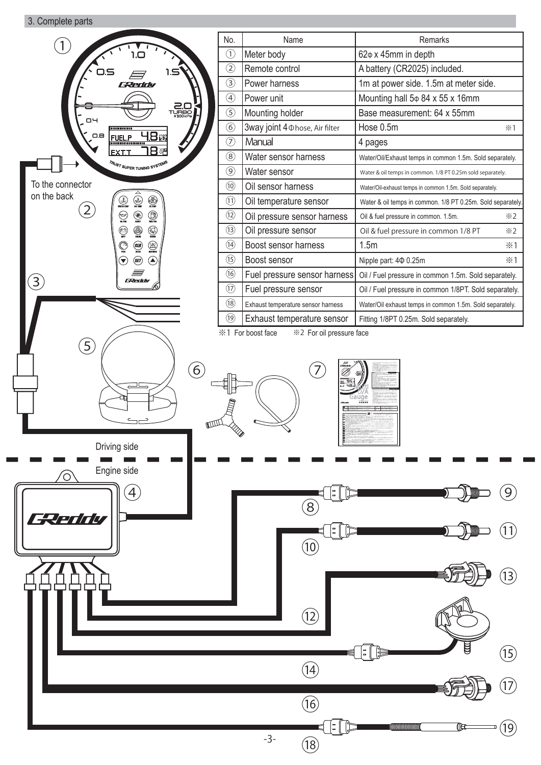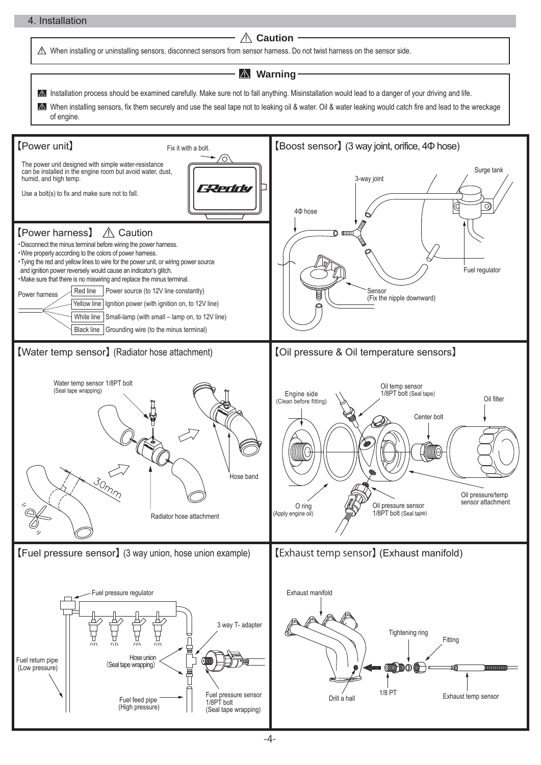**Caution**

 $\triangle$  When installing or uninstalling sensors, disconnect sensors from sensor harness. Do not twist harness on the sensor side.

## **Warning**

- **AN** Installation process should be examined carefully. Make sure not to fall anything. Misinstallation would lead to a danger of your driving and life.
- When installing sensors, fix them securely and use the seal tape not to leaking oil & water. Oil & water leaking would catch fire and lead to the wreckage of engine.

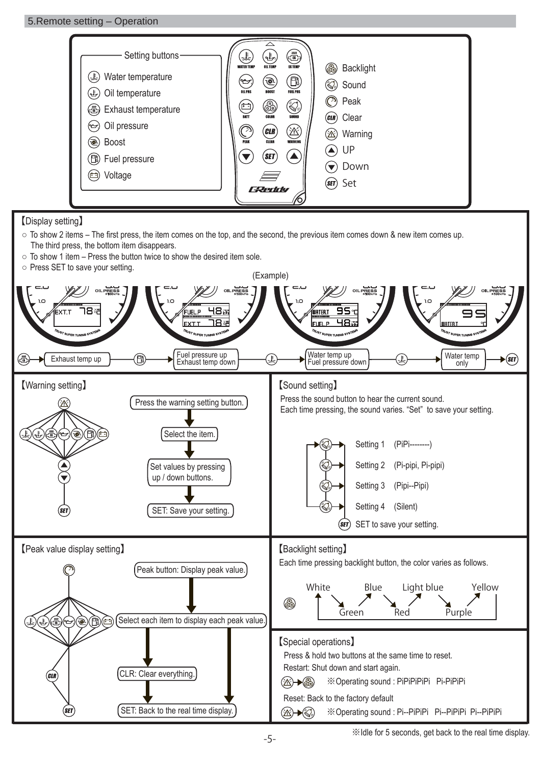### 5.Remote setting – Operation



**【**Display setting**】**

- $\circ$  To show 2 items The first press, the item comes on the top, and the second, the previous item comes down & new item comes up. The third press, the bottom item disappears.
- $\circ$  To show 1 item Press the button twice to show the desired item sole.
- Press SET to save your setting.

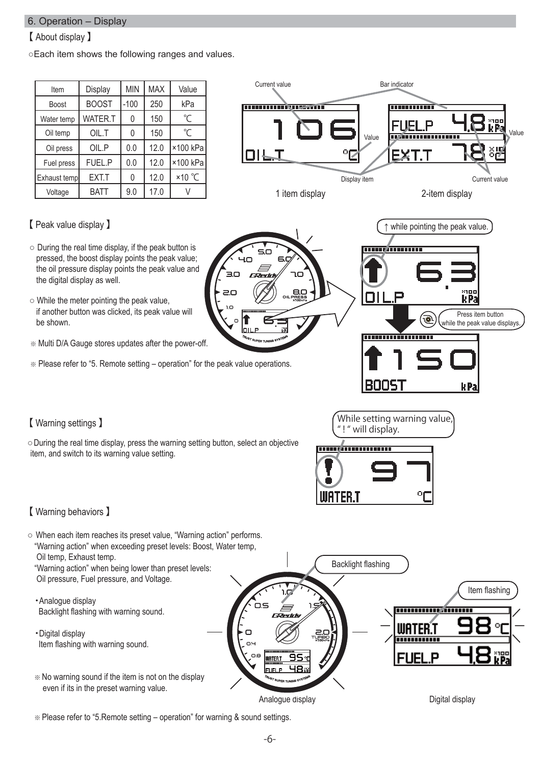## 6. Operation – Display

## **【** About display **】**

○Each item shows the following ranges and values.

| Item         | Display        | <b>MIN</b> | <b>MAX</b> | Value          | Current value |
|--------------|----------------|------------|------------|----------------|---------------|
| <b>Boost</b> | <b>BOOST</b>   | $-100$     | 250        | kPa            |               |
| Water temp   | <b>WATER.T</b> | 0          | 150        | $^{\circ}$ C   |               |
| Oil temp     | OIL.T          | 0          | 150        | $\int^{\circ}$ |               |
| Oil press    | OIL.P          | 0.0        | 12.0       | ×100 kPa       |               |
| Fuel press   | FUEL.P         | 0.0        | 12.0       | ×100 kPa       | <b>IOIFI</b>  |
| Exhaust temp | EXT.T          | 0          | 12.0       | ×10 °C         |               |
| Voltage      | <b>BATT</b>    | 9.0        | 17.0       |                | ite           |



## **【** Peak value display **】**

- $\circ$  During the real time display, if the peak button is pressed, the boost display points the peak value; the oil pressure display points the peak value and the digital display as well.
- ○While the meter pointing the peak value, if another button was clicked, its peak value will be shown.
- **※** Multi D/A Gauge stores updates after the power-off.
- **※** Please refer to "5. Remote setting operation" for the peak value operations.

# **【** Warning settings **】**

○During the real time display, press the warning setting button, select an objective item, and switch to its warning value setting.



Press item button while the peak value displays.

k P:

k Pa

ख्श

## **【** Warning behaviors **】**



 $\blacksquare$ 

 $\mathsf{C}$ 

 $\equiv$ 

<u>Jerk</u>

 $\mathop{\exists}\mathop{\Box}$ 

 $\Rightarrow$   $\Rightarrow$ 

 $\overline{a}$ 

 $\Box$ lou

 **※** Please refer to "5.Remote setting – operation" for warning & sound settings.